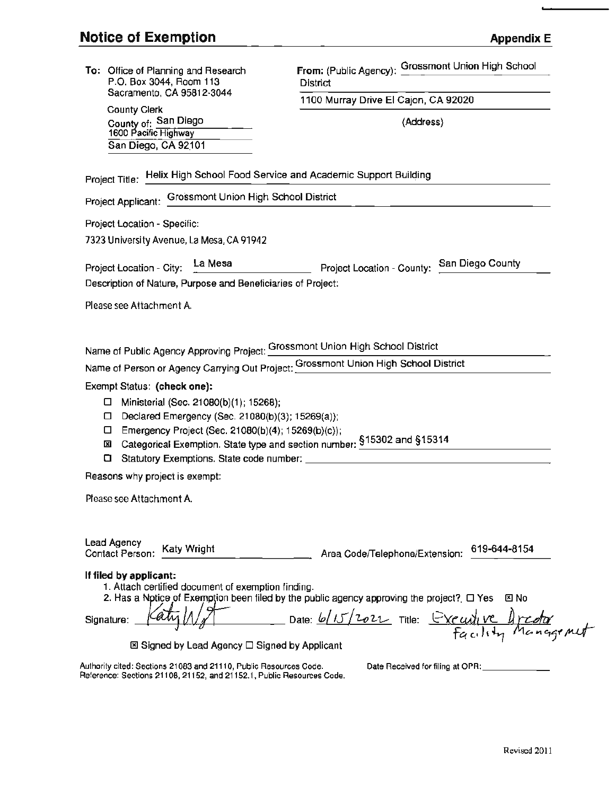| To: Office of Planning and Research<br>P.O. Box 3044, Room 113<br>Sacramento, CA 95812-3044<br><b>County Clerk</b>                                                                                                                                                                            | From: (Public Agency): Grossmont Union High School                                                                                                                                                 |
|-----------------------------------------------------------------------------------------------------------------------------------------------------------------------------------------------------------------------------------------------------------------------------------------------|----------------------------------------------------------------------------------------------------------------------------------------------------------------------------------------------------|
|                                                                                                                                                                                                                                                                                               | District                                                                                                                                                                                           |
|                                                                                                                                                                                                                                                                                               | 1100 Murray Drive El Cajon, CA 92020                                                                                                                                                               |
| County of: San Diego<br>1600 Pacific Highway                                                                                                                                                                                                                                                  | (Address)                                                                                                                                                                                          |
| San Diego, CA 92101                                                                                                                                                                                                                                                                           |                                                                                                                                                                                                    |
| Project Title: Helix High School Food Service and Academic Support Building                                                                                                                                                                                                                   |                                                                                                                                                                                                    |
| Project Applicant: Grossmont Union High School District                                                                                                                                                                                                                                       |                                                                                                                                                                                                    |
| Project Location - Specific:                                                                                                                                                                                                                                                                  |                                                                                                                                                                                                    |
| 7323 University Avenue, La Mesa, CA 91942                                                                                                                                                                                                                                                     |                                                                                                                                                                                                    |
|                                                                                                                                                                                                                                                                                               | Project Location - City: La Mesa<br>Project Location - County: San Diego County                                                                                                                    |
| Description of Nature, Purpose and Beneficiaries of Project:                                                                                                                                                                                                                                  |                                                                                                                                                                                                    |
| Please see Attachment A.                                                                                                                                                                                                                                                                      |                                                                                                                                                                                                    |
|                                                                                                                                                                                                                                                                                               |                                                                                                                                                                                                    |
| Name of Person or Agency Carrying Out Project: Grossmont Union High School District<br>Exempt Status: (check one):<br>$\Box$ Ministerial (Sec. 21080(b)(1); 15268);<br>Declared Emergency (Sec. 21080(b)(3); 15269(a));<br>□.<br>Emergency Project (Sec. 21080(b)(4); 15269(b)(c));<br>□<br>⊠ | Categorical Exemption. State type and section number: \$15302 and \$15314                                                                                                                          |
| Reasons why project is exempt:                                                                                                                                                                                                                                                                |                                                                                                                                                                                                    |
| Please see Attachment A.                                                                                                                                                                                                                                                                      |                                                                                                                                                                                                    |
| <b>Lead Agency</b><br><b>Katy Wright</b><br>Contact Person:<br>If filed by applicant:<br>1. Attach certified document of exemption finding.<br>Signature:<br>⊠ Signed by Lead Agency □ Signed by Applicant                                                                                    | 619-644-8154<br>Area Code/Telephone/Extension:<br>2. Has a Notice of Exemption been filed by the public agency approving the project? $\Box$ Yes<br>図 No<br>Date: 6/15/2022 Title: Executive Areda |
| Authority cited: Sections 21083 and 21110, Public Resources Code.<br>Reference: Sections 21108, 21152, and 21152.1, Public Resources Code.                                                                                                                                                    | Date Received for filing at OPR:                                                                                                                                                                   |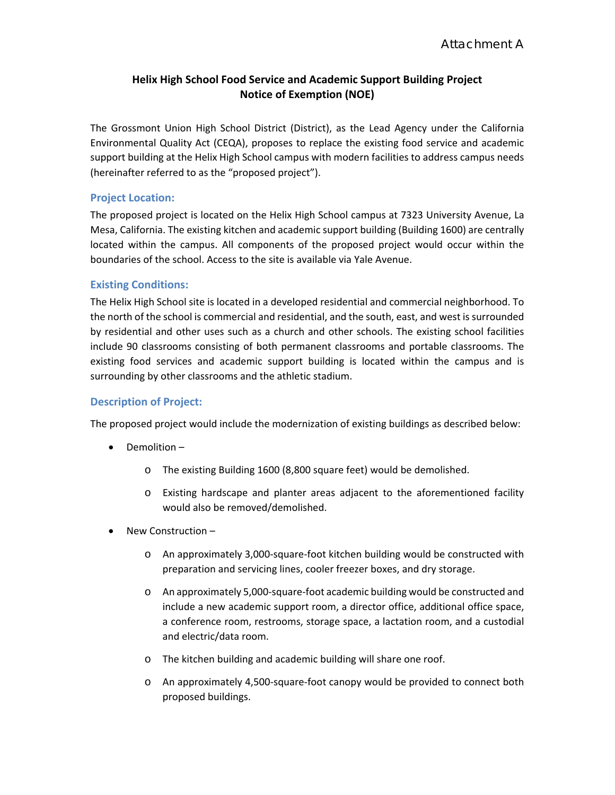# **Helix High School Food Service and Academic Support Building Project Notice of Exemption (NOE)**

The Grossmont Union High School District (District), as the Lead Agency under the California Environmental Quality Act (CEQA), proposes to replace the existing food service and academic support building at the Helix High School campus with modern facilities to address campus needs (hereinafter referred to as the "proposed project").

### **Project Location:**

The proposed project is located on the Helix High School campus at 7323 University Avenue, La Mesa, California. The existing kitchen and academic support building (Building 1600) are centrally located within the campus. All components of the proposed project would occur within the boundaries of the school. Access to the site is available via Yale Avenue.

### **Existing Conditions:**

The Helix High School site is located in a developed residential and commercial neighborhood. To the north of the school is commercial and residential, and the south, east, and west is surrounded by residential and other uses such as a church and other schools. The existing school facilities include 90 classrooms consisting of both permanent classrooms and portable classrooms. The existing food services and academic support building is located within the campus and is surrounding by other classrooms and the athletic stadium.

### **Description of Project:**

The proposed project would include the modernization of existing buildings as described below:

- Demolition
	- o The existing Building 1600 (8,800 square feet) would be demolished.
	- o Existing hardscape and planter areas adjacent to the aforementioned facility would also be removed/demolished.
- New Construction
	- o An approximately 3,000-square-foot kitchen building would be constructed with preparation and servicing lines, cooler freezer boxes, and dry storage.
	- o An approximately 5,000-square-foot academic building would be constructed and include a new academic support room, a director office, additional office space, a conference room, restrooms, storage space, a lactation room, and a custodial and electric/data room.
	- o The kitchen building and academic building will share one roof.
	- o An approximately 4,500-square-foot canopy would be provided to connect both proposed buildings.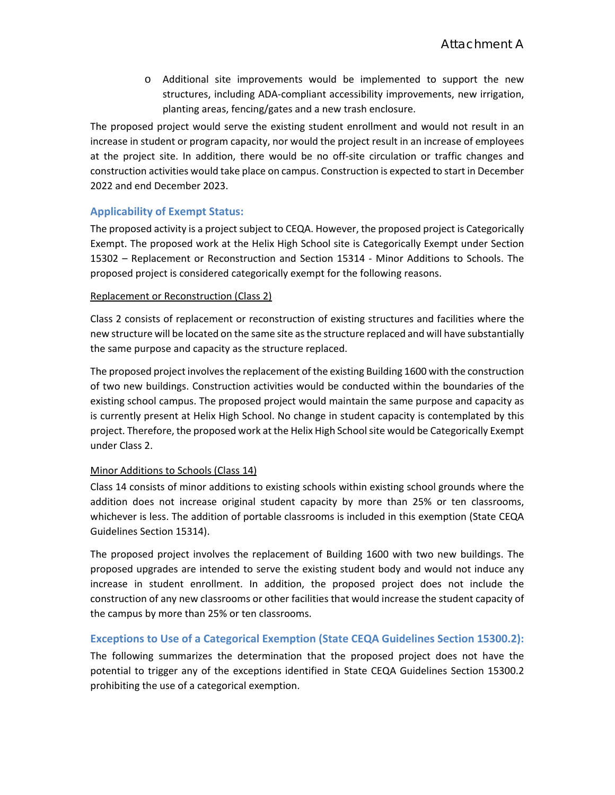o Additional site improvements would be implemented to support the new structures, including ADA-compliant accessibility improvements, new irrigation, planting areas, fencing/gates and a new trash enclosure.

The proposed project would serve the existing student enrollment and would not result in an increase in student or program capacity, nor would the project result in an increase of employees at the project site. In addition, there would be no off-site circulation or traffic changes and construction activities would take place on campus. Construction is expected to start in December 2022 and end December 2023.

### **Applicability of Exempt Status:**

The proposed activity is a project subject to CEQA. However, the proposed project is Categorically Exempt. The proposed work at the Helix High School site is Categorically Exempt under Section 15302 – Replacement or Reconstruction and Section 15314 - Minor Additions to Schools. The proposed project is considered categorically exempt for the following reasons.

#### Replacement or Reconstruction (Class 2)

Class 2 consists of replacement or reconstruction of existing structures and facilities where the new structure will be located on the same site as the structure replaced and will have substantially the same purpose and capacity as the structure replaced.

The proposed project involves the replacement of the existing Building 1600 with the construction of two new buildings. Construction activities would be conducted within the boundaries of the existing school campus. The proposed project would maintain the same purpose and capacity as is currently present at Helix High School. No change in student capacity is contemplated by this project. Therefore, the proposed work at the Helix High School site would be Categorically Exempt under Class 2.

### Minor Additions to Schools (Class 14)

Class 14 consists of minor additions to existing schools within existing school grounds where the addition does not increase original student capacity by more than 25% or ten classrooms, whichever is less. The addition of portable classrooms is included in this exemption (State CEQA Guidelines Section 15314).

The proposed project involves the replacement of Building 1600 with two new buildings. The proposed upgrades are intended to serve the existing student body and would not induce any increase in student enrollment. In addition, the proposed project does not include the construction of any new classrooms or other facilities that would increase the student capacity of the campus by more than 25% or ten classrooms.

### **Exceptions to Use of a Categorical Exemption (State CEQA Guidelines Section 15300.2):**

The following summarizes the determination that the proposed project does not have the potential to trigger any of the exceptions identified in State CEQA Guidelines Section 15300.2 prohibiting the use of a categorical exemption.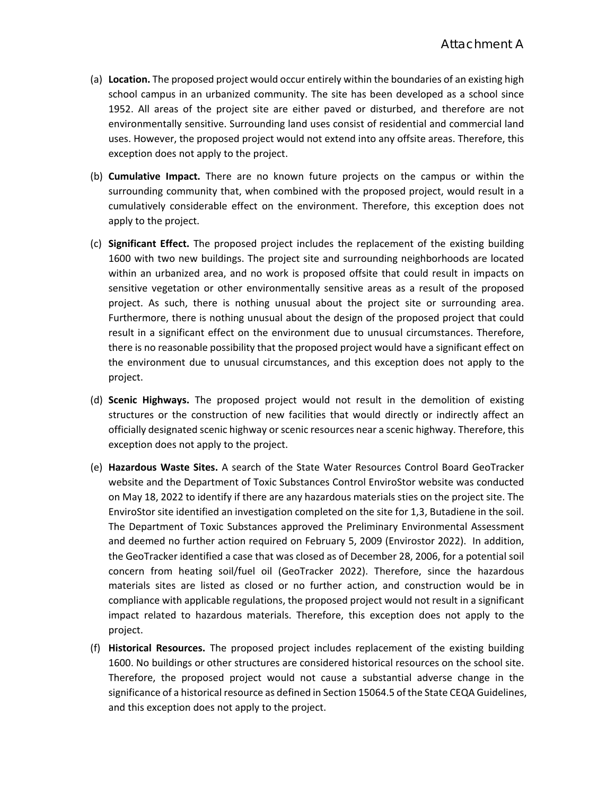- (a) **Location.** The proposed project would occur entirely within the boundaries of an existing high school campus in an urbanized community. The site has been developed as a school since 1952. All areas of the project site are either paved or disturbed, and therefore are not environmentally sensitive. Surrounding land uses consist of residential and commercial land uses. However, the proposed project would not extend into any offsite areas. Therefore, this exception does not apply to the project.
- (b) **Cumulative Impact.** There are no known future projects on the campus or within the surrounding community that, when combined with the proposed project, would result in a cumulatively considerable effect on the environment. Therefore, this exception does not apply to the project.
- (c) **Significant Effect.** The proposed project includes the replacement of the existing building 1600 with two new buildings. The project site and surrounding neighborhoods are located within an urbanized area, and no work is proposed offsite that could result in impacts on sensitive vegetation or other environmentally sensitive areas as a result of the proposed project. As such, there is nothing unusual about the project site or surrounding area. Furthermore, there is nothing unusual about the design of the proposed project that could result in a significant effect on the environment due to unusual circumstances. Therefore, there is no reasonable possibility that the proposed project would have a significant effect on the environment due to unusual circumstances, and this exception does not apply to the project.
- (d) **Scenic Highways.** The proposed project would not result in the demolition of existing structures or the construction of new facilities that would directly or indirectly affect an officially designated scenic highway or scenic resources near a scenic highway. Therefore, this exception does not apply to the project.
- (e) **Hazardous Waste Sites.** A search of the State Water Resources Control Board GeoTracker website and the Department of Toxic Substances Control EnviroStor website was conducted on May 18, 2022 to identify if there are any hazardous materials sties on the project site. The EnviroStor site identified an investigation completed on the site for 1,3, Butadiene in the soil. The Department of Toxic Substances approved the Preliminary Environmental Assessment and deemed no further action required on February 5, 2009 (Envirostor 2022). In addition, the GeoTracker identified a case that was closed as of December 28, 2006, for a potential soil concern from heating soil/fuel oil (GeoTracker 2022). Therefore, since the hazardous materials sites are listed as closed or no further action, and construction would be in compliance with applicable regulations, the proposed project would not result in a significant impact related to hazardous materials. Therefore, this exception does not apply to the project.
- (f) **Historical Resources.** The proposed project includes replacement of the existing building 1600. No buildings or other structures are considered historical resources on the school site. Therefore, the proposed project would not cause a substantial adverse change in the significance of a historical resource as defined in Section 15064.5 of the State CEQA Guidelines, and this exception does not apply to the project.